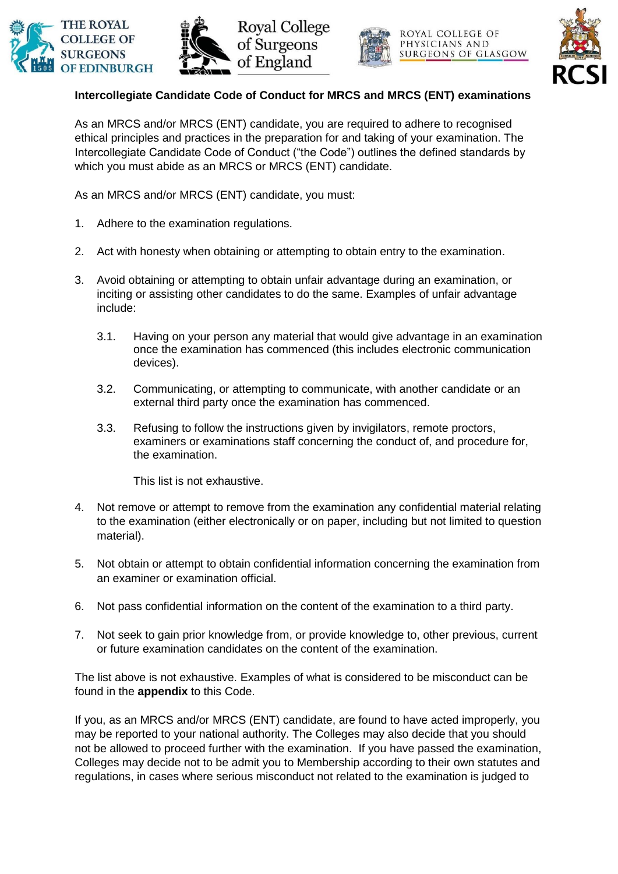







ROYAL COLLEGE OF PHYSICIANS AND SURGEONS OF GLASGOW



## **Intercollegiate Candidate Code of Conduct for MRCS and MRCS (ENT) examinations**

As an MRCS and/or MRCS (ENT) candidate, you are required to adhere to recognised ethical principles and practices in the preparation for and taking of your examination. The Intercollegiate Candidate Code of Conduct ("the Code") outlines the defined standards by which you must abide as an MRCS or MRCS (ENT) candidate.

As an MRCS and/or MRCS (ENT) candidate, you must:

- 1. Adhere to the examination regulations.
- 2. Act with honesty when obtaining or attempting to obtain entry to the examination.
- 3. Avoid obtaining or attempting to obtain unfair advantage during an examination, or inciting or assisting other candidates to do the same. Examples of unfair advantage include:
	- 3.1. Having on your person any material that would give advantage in an examination once the examination has commenced (this includes electronic communication devices).
	- 3.2. Communicating, or attempting to communicate, with another candidate or an external third party once the examination has commenced.
	- 3.3. Refusing to follow the instructions given by invigilators, remote proctors, examiners or examinations staff concerning the conduct of, and procedure for, the examination.

This list is not exhaustive.

- 4. Not remove or attempt to remove from the examination any confidential material relating to the examination (either electronically or on paper, including but not limited to question material).
- 5. Not obtain or attempt to obtain confidential information concerning the examination from an examiner or examination official.
- 6. Not pass confidential information on the content of the examination to a third party.
- 7. Not seek to gain prior knowledge from, or provide knowledge to, other previous, current or future examination candidates on the content of the examination.

The list above is not exhaustive. Examples of what is considered to be misconduct can be found in the **appendix** to this Code.

If you, as an MRCS and/or MRCS (ENT) candidate, are found to have acted improperly, you may be reported to your national authority. The Colleges may also decide that you should not be allowed to proceed further with the examination. If you have passed the examination, Colleges may decide not to be admit you to Membership according to their own statutes and regulations, in cases where serious misconduct not related to the examination is judged to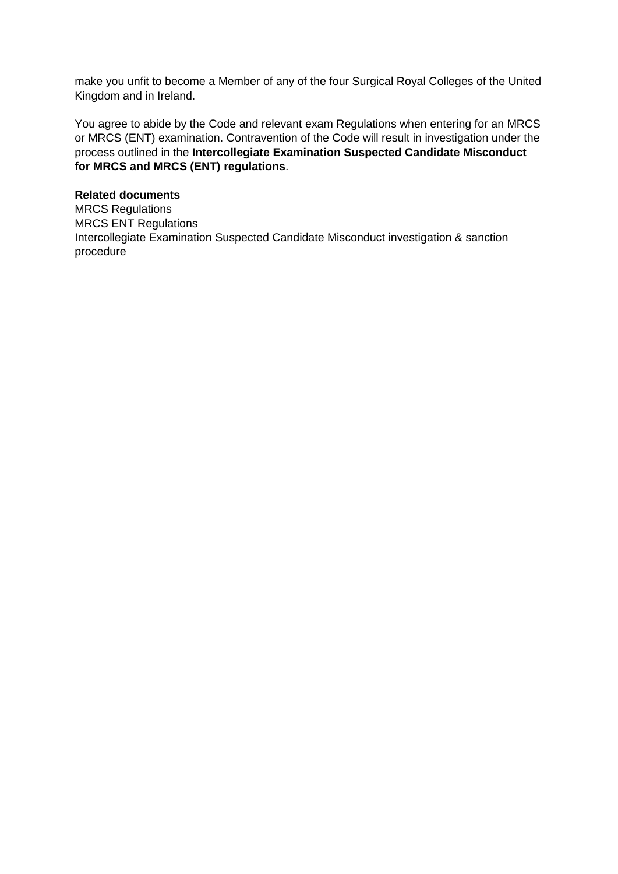make you unfit to become a Member of any of the four Surgical Royal Colleges of the United Kingdom and in Ireland.

You agree to abide by the Code and relevant exam Regulations when entering for an MRCS or MRCS (ENT) examination. Contravention of the Code will result in investigation under the process outlined in the **Intercollegiate Examination Suspected Candidate Misconduct for MRCS and MRCS (ENT) regulations**.

## **Related documents**

MRCS Regulations MRCS ENT Regulations Intercollegiate Examination Suspected Candidate Misconduct investigation & sanction procedure